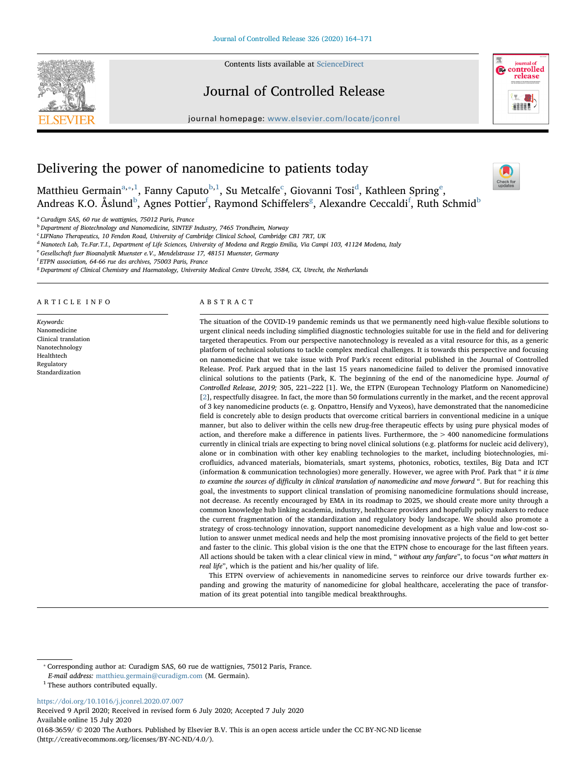

Contents lists available at [ScienceDirect](http://www.sciencedirect.com/science/journal/01683659)

# Journal of Controlled Release

journal homepage: [www.elsevier.com/locate/jconrel](https://www.elsevier.com/locate/jconrel)



 $\frac{N}{2}$ 

# Delivering the power of nanomedicine to patients today

Matthi[e](#page-0-6)u Germain $^{\mathrm{a},\mathrm{*},1}$  $^{\mathrm{a},\mathrm{*},1}$  $^{\mathrm{a},\mathrm{*},1}$ , Fanny Caputo $^{\mathrm{b},1}$  $^{\mathrm{b},1}$  $^{\mathrm{b},1}$ , Su Met[c](#page-0-4)alfe $^{\mathrm{c}}$ , Giovanni Tosi $^{\mathrm{d}}$  $^{\mathrm{d}}$  $^{\mathrm{d}}$ , Kathleen Spring $^{\mathrm{e}}$ , Andreas K.O. Åslund $^{\rm b}$  $^{\rm b}$  $^{\rm b}$ , A[g](#page-0-8)nes Pottier $^{\rm f}$  $^{\rm f}$  $^{\rm f}$ , Raymond Schiffelers $^{\rm g}$ , Alexandre Ceccaldi $^{\rm f}$ , Ruth Schmid $^{\rm b}$ 

<span id="page-0-0"></span><sup>a</sup> Curadigm SAS, 60 rue de wattignies, 75012 Paris, France

<span id="page-0-3"></span><sup>b</sup> Department of Biotechnology and Nanomedicine, SINTEF Industry, 7465 Trondheim, Norway

<span id="page-0-4"></span><sup>c</sup> LIFNano Therapeutics, 10 Fendon Road, University of Cambridge Clinical School, Cambridge CB1 7RT, UK

<span id="page-0-5"></span><sup>d</sup> Nanotech Lab, Te.Far.T.I., Department of Life Sciences, University of Modena and Reggio Emilia, Via Campi 103, 41124 Modena, Italy

<span id="page-0-6"></span><sup>e</sup> Gesellschaft fuer Bioanalytik Muenster e.V., Mendelstrasse 17, 48151 Muenster, Germany

<span id="page-0-7"></span>f ETPN association, 64-66 rue des archives, 75003 Paris, France

<span id="page-0-8"></span><sup>8</sup> Department of Clinical Chemistry and Haematology, University Medical Centre Utrecht, 3584, CX, Utrecht, the Netherlands

#### ARTICLE INFO

Keywords: Nanomedicine Clinical translation Nanotechnology Healthtech Regulatory Standardization

# ABSTRACT

The situation of the COVID-19 pandemic reminds us that we permanently need high-value flexible solutions to urgent clinical needs including simplified diagnostic technologies suitable for use in the field and for delivering targeted therapeutics. From our perspective nanotechnology is revealed as a vital resource for this, as a generic platform of technical solutions to tackle complex medical challenges. It is towards this perspective and focusing on nanomedicine that we take issue with Prof Park's recent editorial published in the Journal of Controlled Release. Prof. Park argued that in the last 15 years nanomedicine failed to deliver the promised innovative clinical solutions to the patients (Park, K. The beginning of the end of the nanomedicine hype. Journal of Controlled Release, 2019; 305, 221–222 [1]. We, the ETPN (European Technology Platform on Nanomedicine) [\[2](#page-6-0)], respectfully disagree. In fact, the more than 50 formulations currently in the market, and the recent approval of 3 key nanomedicine products (e. g. Onpattro, Hensify and Vyxeos), have demonstrated that the nanomedicine field is concretely able to design products that overcome critical barriers in conventional medicine in a unique manner, but also to deliver within the cells new drug-free therapeutic effects by using pure physical modes of action, and therefore make a difference in patients lives. Furthermore, the > 400 nanomedicine formulations currently in clinical trials are expecting to bring novel clinical solutions (e.g. platforms for nucleic acid delivery), alone or in combination with other key enabling technologies to the market, including biotechnologies, microfluidics, advanced materials, biomaterials, smart systems, photonics, robotics, textiles, Big Data and ICT (information & communication technologies) more generally. However, we agree with Prof. Park that " it is time to examine the sources of difficulty in clinical translation of nanomedicine and move forward ". But for reaching this goal, the investments to support clinical translation of promising nanomedicine formulations should increase, not decrease. As recently encouraged by EMA in its roadmap to 2025, we should create more unity through a common knowledge hub linking academia, industry, healthcare providers and hopefully policy makers to reduce the current fragmentation of the standardization and regulatory body landscape. We should also promote a strategy of cross-technology innovation, support nanomedicine development as a high value and low-cost solution to answer unmet medical needs and help the most promising innovative projects of the field to get better and faster to the clinic. This global vision is the one that the ETPN chose to encourage for the last fifteen years. All actions should be taken with a clear clinical view in mind, " without any fanfare", to focus "on what matters in real life", which is the patient and his/her quality of life.

This ETPN overview of achievements in nanomedicine serves to reinforce our drive towards further expanding and growing the maturity of nanomedicine for global healthcare, accelerating the pace of transformation of its great potential into tangible medical breakthroughs.

<https://doi.org/10.1016/j.jconrel.2020.07.007>

Received 9 April 2020; Received in revised form 6 July 2020; Accepted 7 July 2020 Available online 15 July 2020 0168-3659/ © 2020 The Authors. Published by Elsevier B.V. This is an open access article under the CC BY-NC-ND license (http://creativecommons.org/licenses/BY-NC-ND/4.0/).

<span id="page-0-1"></span><sup>⁎</sup> Corresponding author at: Curadigm SAS, 60 rue de wattignies, 75012 Paris, France.

E-mail address: [matthieu.germain@curadigm.com](mailto:matthieu.germain@curadigm.com) (M. Germain).

<span id="page-0-2"></span> $^{\rm 1}$  These authors contributed equally.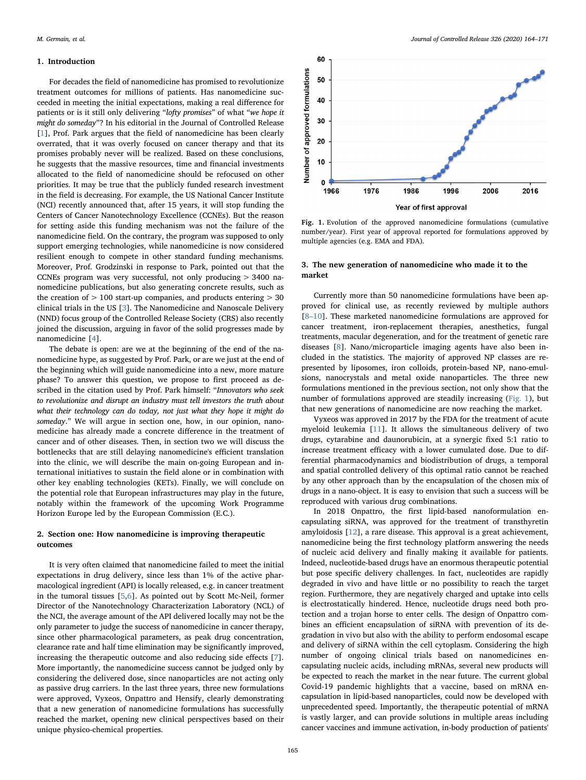#### 1. Introduction

For decades the field of nanomedicine has promised to revolutionize treatment outcomes for millions of patients. Has nanomedicine succeeded in meeting the initial expectations, making a real difference for patients or is it still only delivering "lofty promises" of what "we hope it might do someday"? In his editorial in the Journal of Controlled Release [[1](#page-6-1)], Prof. Park argues that the field of nanomedicine has been clearly overrated, that it was overly focused on cancer therapy and that its promises probably never will be realized. Based on these conclusions, he suggests that the massive resources, time and financial investments allocated to the field of nanomedicine should be refocused on other priorities. It may be true that the publicly funded research investment in the field is decreasing. For example, the US National Cancer Institute (NCI) recently announced that, after 15 years, it will stop funding the Centers of Cancer Nanotechnology Excellence (CCNEs). But the reason for setting aside this funding mechanism was not the failure of the nanomedicine field. On the contrary, the program was supposed to only support emerging technologies, while nanomedicine is now considered resilient enough to compete in other standard funding mechanisms. Moreover, Prof. Grodzinski in response to Park, pointed out that the CCNEs program was very successful, not only producing > 3400 nanomedicine publications, but also generating concrete results, such as the creation of  $> 100$  start-up companies, and products entering  $> 30$ clinical trials in the US [\[3\]](#page-6-2). The Nanomedicine and Nanoscale Delivery (NND) focus group of the Controlled Release Society (CRS) also recently joined the discussion, arguing in favor of the solid progresses made by nanomedicine [\[4\]](#page-6-3).

The debate is open: are we at the beginning of the end of the nanomedicine hype, as suggested by Prof. Park, or are we just at the end of the beginning which will guide nanomedicine into a new, more mature phase? To answer this question, we propose to first proceed as described in the citation used by Prof. Park himself: "Innovators who seek to revolutionize and disrupt an industry must tell investors the truth about what their technology can do today, not just what they hope it might do someday." We will argue in section one, how, in our opinion, nanomedicine has already made a concrete difference in the treatment of cancer and of other diseases. Then, in section two we will discuss the bottlenecks that are still delaying nanomedicine's efficient translation into the clinic, we will describe the main on-going European and international initiatives to sustain the field alone or in combination with other key enabling technologies (KETs). Finally, we will conclude on the potential role that European infrastructures may play in the future, notably within the framework of the upcoming Work Programme Horizon Europe led by the European Commission (E.C.).

# 2. Section one: How nanomedicine is improving therapeutic outcomes

It is very often claimed that nanomedicine failed to meet the initial expectations in drug delivery, since less than 1% of the active pharmacological ingredient (API) is locally released, e.g. in cancer treatment in the tumoral tissues [[5](#page-6-4)[,6\]](#page-6-5). As pointed out by Scott Mc-Neil, former Director of the Nanotechnology Characterization Laboratory (NCL) of the NCI, the average amount of the API delivered locally may not be the only parameter to judge the success of nanomedicine in cancer therapy, since other pharmacological parameters, as peak drug concentration, clearance rate and half time elimination may be significantly improved, increasing the therapeutic outcome and also reducing side effects [[7](#page-6-6)]. More importantly, the nanomedicine success cannot be judged only by considering the delivered dose, since nanoparticles are not acting only as passive drug carriers. In the last three years, three new formulations were approved, Vyxeos, Onpattro and Hensify, clearly demonstrating that a new generation of nanomedicine formulations has successfully reached the market, opening new clinical perspectives based on their unique physico-chemical properties.

<span id="page-1-0"></span>

Fig. 1. Evolution of the approved nanomedicine formulations (cumulative number/year). First year of approval reported for formulations approved by multiple agencies (e.g. EMA and FDA).

# 3. The new generation of nanomedicine who made it to the market

Currently more than 50 nanomedicine formulations have been approved for clinical use, as recently reviewed by multiple authors [8–[10](#page-6-7)]. These marketed nanomedicine formulations are approved for cancer treatment, iron-replacement therapies, anesthetics, fungal treatments, macular degeneration, and for the treatment of genetic rare diseases [\[8\]](#page-6-7). Nano/microparticle imaging agents have also been included in the statistics. The majority of approved NP classes are represented by liposomes, iron colloids, protein-based NP, nano-emulsions, nanocrystals and metal oxide nanoparticles. The three new formulations mentioned in the previous section, not only show that the number of formulations approved are steadily increasing [\(Fig. 1\)](#page-1-0), but that new generations of nanomedicine are now reaching the market.

Vyxeos was approved in 2017 by the FDA for the treatment of acute myeloid leukemia [\[11](#page-6-8)]. It allows the simultaneous delivery of two drugs, cytarabine and daunorubicin, at a synergic fixed 5:1 ratio to increase treatment efficacy with a lower cumulated dose. Due to differential pharmacodynamics and biodistribution of drugs, a temporal and spatial controlled delivery of this optimal ratio cannot be reached by any other approach than by the encapsulation of the chosen mix of drugs in a nano-object. It is easy to envision that such a success will be reproduced with various drug combinations.

In 2018 Onpattro, the first lipid-based nanoformulation encapsulating siRNA, was approved for the treatment of transthyretin amyloidosis [\[12](#page-6-9)], a rare disease. This approval is a great achievement, nanomedicine being the first technology platform answering the needs of nucleic acid delivery and finally making it available for patients. Indeed, nucleotide-based drugs have an enormous therapeutic potential but pose specific delivery challenges. In fact, nucleotides are rapidly degraded in vivo and have little or no possibility to reach the target region. Furthermore, they are negatively charged and uptake into cells is electrostatically hindered. Hence, nucleotide drugs need both protection and a trojan horse to enter cells. The design of Onpattro combines an efficient encapsulation of siRNA with prevention of its degradation in vivo but also with the ability to perform endosomal escape and delivery of siRNA within the cell cytoplasm. Considering the high number of ongoing clinical trials based on nanomedicines encapsulating nucleic acids, including mRNAs, several new products will be expected to reach the market in the near future. The current global Covid-19 pandemic highlights that a vaccine, based on mRNA encapsulation in lipid-based nanoparticles, could now be developed with unprecedented speed. Importantly, the therapeutic potential of mRNA is vastly larger, and can provide solutions in multiple areas including cancer vaccines and immune activation, in-body production of patients'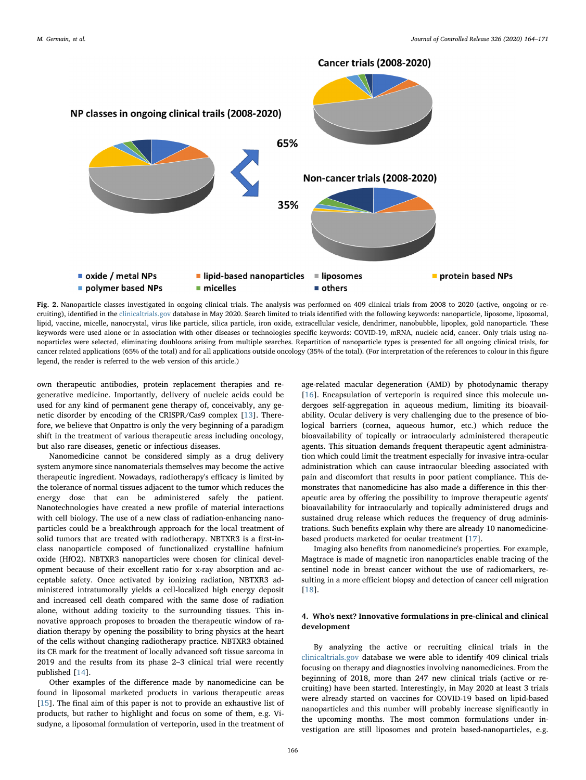<span id="page-2-0"></span>

Fig. 2. Nanoparticle classes investigated in ongoing clinical trials. The analysis was performed on 409 clinical trials from 2008 to 2020 (active, ongoing or recruiting), identified in the [clinicaltrials.gov](http://clinicaltrials.gov) database in May 2020. Search limited to trials identified with the following keywords: nanoparticle, liposome, liposomal, lipid, vaccine, micelle, nanocrystal, virus like particle, silica particle, iron oxide, extracellular vesicle, dendrimer, nanobubble, lipoplex, gold nanoparticle. These keywords were used alone or in association with other diseases or technologies specific keywords: COVID-19, mRNA, nucleic acid, cancer. Only trials using nanoparticles were selected, eliminating doubloons arising from multiple searches. Repartition of nanoparticle types is presented for all ongoing clinical trials, for cancer related applications (65% of the total) and for all applications outside oncology (35% of the total). (For interpretation of the references to colour in this figure legend, the reader is referred to the web version of this article.)

own therapeutic antibodies, protein replacement therapies and regenerative medicine. Importantly, delivery of nucleic acids could be used for any kind of permanent gene therapy of, conceivably, any genetic disorder by encoding of the CRISPR/Cas9 complex [\[13](#page-6-10)]. Therefore, we believe that Onpattro is only the very beginning of a paradigm shift in the treatment of various therapeutic areas including oncology, but also rare diseases, genetic or infectious diseases.

Nanomedicine cannot be considered simply as a drug delivery system anymore since nanomaterials themselves may become the active therapeutic ingredient. Nowadays, radiotherapy's efficacy is limited by the tolerance of normal tissues adjacent to the tumor which reduces the energy dose that can be administered safely the patient. Nanotechnologies have created a new profile of material interactions with cell biology. The use of a new class of radiation-enhancing nanoparticles could be a breakthrough approach for the local treatment of solid tumors that are treated with radiotherapy. NBTXR3 is a first-inclass nanoparticle composed of functionalized crystalline hafnium oxide (HfO2). NBTXR3 nanoparticles were chosen for clinical development because of their excellent ratio for x-ray absorption and acceptable safety. Once activated by ionizing radiation, NBTXR3 administered intratumorally yields a cell-localized high energy deposit and increased cell death compared with the same dose of radiation alone, without adding toxicity to the surrounding tissues. This innovative approach proposes to broaden the therapeutic window of radiation therapy by opening the possibility to bring physics at the heart of the cells without changing radiotherapy practice. NBTXR3 obtained its CE mark for the treatment of locally advanced soft tissue sarcoma in 2019 and the results from its phase 2–3 clinical trial were recently published [[14\]](#page-6-11).

Other examples of the difference made by nanomedicine can be found in liposomal marketed products in various therapeutic areas [[15\]](#page-6-12). The final aim of this paper is not to provide an exhaustive list of products, but rather to highlight and focus on some of them, e.g. Visudyne, a liposomal formulation of verteporin, used in the treatment of

age-related macular degeneration (AMD) by photodynamic therapy [[16\]](#page-6-13). Encapsulation of verteporin is required since this molecule undergoes self-aggregation in aqueous medium, limiting its bioavailability. Ocular delivery is very challenging due to the presence of biological barriers (cornea, aqueous humor, etc.) which reduce the bioavailability of topically or intraocularly administered therapeutic agents. This situation demands frequent therapeutic agent administration which could limit the treatment especially for invasive intra-ocular administration which can cause intraocular bleeding associated with pain and discomfort that results in poor patient compliance. This demonstrates that nanomedicine has also made a difference in this therapeutic area by offering the possibility to improve therapeutic agents' bioavailability for intraocularly and topically administered drugs and sustained drug release which reduces the frequency of drug administrations. Such benefits explain why there are already 10 nanomedicinebased products marketed for ocular treatment [\[17](#page-6-14)].

Imaging also benefits from nanomedicine's properties. For example, Magtrace is made of magnetic iron nanoparticles enable tracing of the sentinel node in breast cancer without the use of radiomarkers, resulting in a more efficient biopsy and detection of cancer cell migration [[18\]](#page-6-15).

# 4. Who's next? Innovative formulations in pre-clinical and clinical development

By analyzing the active or recruiting clinical trials in the [clinicaltrials.gov](http://clinicaltrials.gov) database we were able to identify 409 clinical trials focusing on therapy and diagnostics involving nanomedicines. From the beginning of 2018, more than 247 new clinical trials (active or recruiting) have been started. Interestingly, in May 2020 at least 3 trials were already started on vaccines for COVID-19 based on lipid-based nanoparticles and this number will probably increase significantly in the upcoming months. The most common formulations under investigation are still liposomes and protein based-nanoparticles, e.g.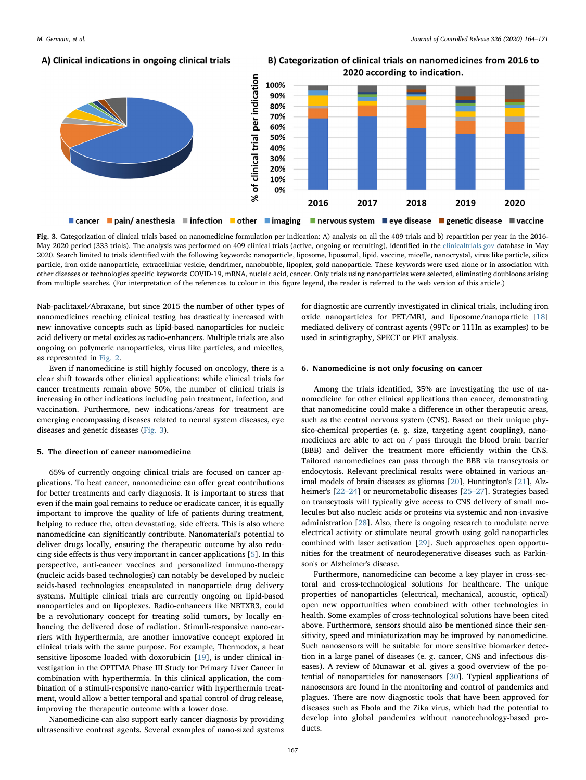# <span id="page-3-0"></span>A) Clinical indications in ongoing clinical trials

B) Categorization of clinical trials on nanomedicines from 2016 to 2020 according to indication.



Fig. 3. Categorization of clinical trials based on nanomedicine formulation per indication: A) analysis on all the 409 trials and b) repartition per year in the 2016- May 2020 period (333 trials). The analysis was performed on 409 clinical trials (active, ongoing or recruiting), identified in the [clinicaltrials.gov](http://clinicaltrials.gov) database in May 2020. Search limited to trials identified with the following keywords: nanoparticle, liposome, liposomal, lipid, vaccine, micelle, nanocrystal, virus like particle, silica particle, iron oxide nanoparticle, extracellular vesicle, dendrimer, nanobubble, lipoplex, gold nanoparticle. These keywords were used alone or in association with other diseases or technologies specific keywords: COVID-19, mRNA, nucleic acid, cancer. Only trials using nanoparticles were selected, eliminating doubloons arising from multiple searches. (For interpretation of the references to colour in this figure legend, the reader is referred to the web version of this article.)

Nab-paclitaxel/Abraxane, but since 2015 the number of other types of nanomedicines reaching clinical testing has drastically increased with new innovative concepts such as lipid-based nanoparticles for nucleic acid delivery or metal oxides as radio-enhancers. Multiple trials are also ongoing on polymeric nanoparticles, virus like particles, and micelles, as represented in [Fig. 2](#page-2-0).

Even if nanomedicine is still highly focused on oncology, there is a clear shift towards other clinical applications: while clinical trials for cancer treatments remain above 50%, the number of clinical trials is increasing in other indications including pain treatment, infection, and vaccination. Furthermore, new indications/areas for treatment are emerging encompassing diseases related to neural system diseases, eye diseases and genetic diseases [\(Fig. 3\)](#page-3-0).

# 5. The direction of cancer nanomedicine

65% of currently ongoing clinical trials are focused on cancer applications. To beat cancer, nanomedicine can offer great contributions for better treatments and early diagnosis. It is important to stress that even if the main goal remains to reduce or eradicate cancer, it is equally important to improve the quality of life of patients during treatment, helping to reduce the, often devastating, side effects. This is also where nanomedicine can significantly contribute. Nanomaterial's potential to deliver drugs locally, ensuring the therapeutic outcome by also reducing side effects is thus very important in cancer applications [[5](#page-6-4)]. In this perspective, anti-cancer vaccines and personalized immuno-therapy (nucleic acids-based technologies) can notably be developed by nucleic acids-based technologies encapsulated in nanoparticle drug delivery systems. Multiple clinical trials are currently ongoing on lipid-based nanoparticles and on lipoplexes. Radio-enhancers like NBTXR3, could be a revolutionary concept for treating solid tumors, by locally enhancing the delivered dose of radiation. Stimuli-responsive nano-carriers with hyperthermia, are another innovative concept explored in clinical trials with the same purpose. For example, Thermodox, a heat sensitive liposome loaded with doxorubicin [[19\]](#page-6-16), is under clinical investigation in the OPTIMA Phase III Study for Primary Liver Cancer in combination with hyperthermia. In this clinical application, the combination of a stimuli-responsive nano-carrier with hyperthermia treatment, would allow a better temporal and spatial control of drug release, improving the therapeutic outcome with a lower dose.

Nanomedicine can also support early cancer diagnosis by providing ultrasensitive contrast agents. Several examples of nano-sized systems for diagnostic are currently investigated in clinical trials, including iron oxide nanoparticles for PET/MRI, and liposome/nanoparticle [\[18](#page-6-15)] mediated delivery of contrast agents (99Tc or 111In as examples) to be used in scintigraphy, SPECT or PET analysis.

## 6. Nanomedicine is not only focusing on cancer

Among the trials identified, 35% are investigating the use of nanomedicine for other clinical applications than cancer, demonstrating that nanomedicine could make a difference in other therapeutic areas, such as the central nervous system (CNS). Based on their unique physico-chemical properties (e. g. size, targeting agent coupling), nanomedicines are able to act on / pass through the blood brain barrier (BBB) and deliver the treatment more efficiently within the CNS. Tailored nanomedicines can pass through the BBB via transcytosis or endocytosis. Relevant preclinical results were obtained in various animal models of brain diseases as gliomas [\[20](#page-6-17)], Huntington's [\[21](#page-7-0)], Alzheimer's [22–[24\]](#page-7-1) or neurometabolic diseases [25–[27\]](#page-7-2). Strategies based on transcytosis will typically give access to CNS delivery of small molecules but also nucleic acids or proteins via systemic and non-invasive administration [\[28](#page-7-3)]. Also, there is ongoing research to modulate nerve electrical activity or stimulate neural growth using gold nanoparticles combined with laser activation [\[29](#page-7-4)]. Such approaches open opportunities for the treatment of neurodegenerative diseases such as Parkinson's or Alzheimer's disease.

Furthermore, nanomedicine can become a key player in cross-sectoral and cross-technological solutions for healthcare. The unique properties of nanoparticles (electrical, mechanical, acoustic, optical) open new opportunities when combined with other technologies in health. Some examples of cross-technological solutions have been cited above. Furthermore, sensors should also be mentioned since their sensitivity, speed and miniaturization may be improved by nanomedicine. Such nanosensors will be suitable for more sensitive biomarker detection in a large panel of diseases (e. g. cancer, CNS and infectious diseases). A review of Munawar et al. gives a good overview of the potential of nanoparticles for nanosensors [\[30](#page-7-5)]. Typical applications of nanosensors are found in the monitoring and control of pandemics and plagues. There are now diagnostic tools that have been approved for diseases such as Ebola and the Zika virus, which had the potential to develop into global pandemics without nanotechnology-based products.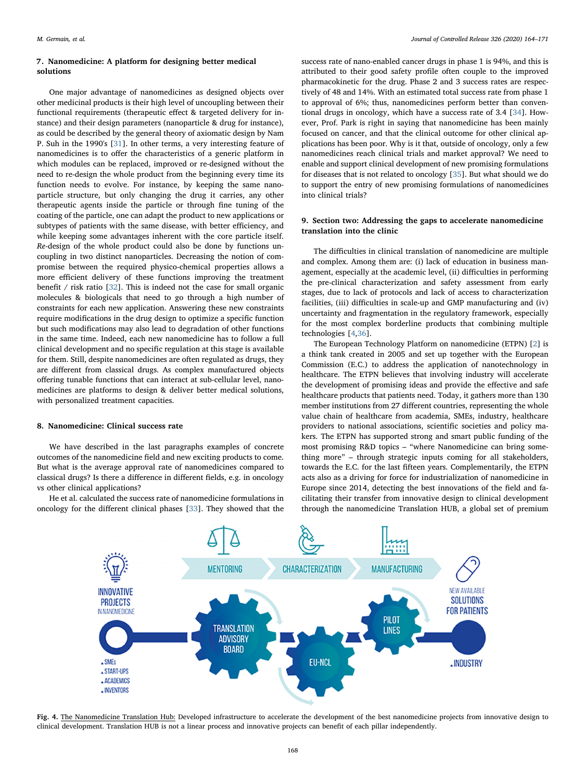# 7. Nanomedicine: A platform for designing better medical solutions

One major advantage of nanomedicines as designed objects over other medicinal products is their high level of uncoupling between their functional requirements (therapeutic effect & targeted delivery for instance) and their design parameters (nanoparticle & drug for instance), as could be described by the general theory of axiomatic design by Nam P. Suh in the 1990's [\[31](#page-7-6)]. In other terms, a very interesting feature of nanomedicines is to offer the characteristics of a generic platform in which modules can be replaced, improved or re-designed without the need to re-design the whole product from the beginning every time its function needs to evolve. For instance, by keeping the same nanoparticle structure, but only changing the drug it carries, any other therapeutic agents inside the particle or through fine tuning of the coating of the particle, one can adapt the product to new applications or subtypes of patients with the same disease, with better efficiency, and while keeping some advantages inherent with the core particle itself. Re-design of the whole product could also be done by functions uncoupling in two distinct nanoparticles. Decreasing the notion of compromise between the required physico-chemical properties allows a more efficient delivery of these functions improving the treatment benefit / risk ratio [[32\]](#page-7-7). This is indeed not the case for small organic molecules & biologicals that need to go through a high number of constraints for each new application. Answering these new constraints require modifications in the drug design to optimize a specific function but such modifications may also lead to degradation of other functions in the same time. Indeed, each new nanomedicine has to follow a full clinical development and no specific regulation at this stage is available for them. Still, despite nanomedicines are often regulated as drugs, they are different from classical drugs. As complex manufactured objects offering tunable functions that can interact at sub-cellular level, nanomedicines are platforms to design & deliver better medical solutions, with personalized treatment capacities.

#### 8. Nanomedicine: Clinical success rate

We have described in the last paragraphs examples of concrete outcomes of the nanomedicine field and new exciting products to come. But what is the average approval rate of nanomedicines compared to classical drugs? Is there a difference in different fields, e.g. in oncology vs other clinical applications?

<span id="page-4-0"></span>He et al. calculated the success rate of nanomedicine formulations in oncology for the different clinical phases [\[33](#page-7-8)]. They showed that the

success rate of nano-enabled cancer drugs in phase 1 is 94%, and this is attributed to their good safety profile often couple to the improved pharmacokinetic for the drug. Phase 2 and 3 success rates are respectively of 48 and 14%. With an estimated total success rate from phase 1 to approval of 6%; thus, nanomedicines perform better than conventional drugs in oncology, which have a success rate of 3.4 [\[34](#page-7-9)]. However, Prof. Park is right in saying that nanomedicine has been mainly focused on cancer, and that the clinical outcome for other clinical applications has been poor. Why is it that, outside of oncology, only a few nanomedicines reach clinical trials and market approval? We need to enable and support clinical development of new promising formulations for diseases that is not related to oncology [\[35](#page-7-10)]. But what should we do to support the entry of new promising formulations of nanomedicines into clinical trials?

# 9. Section two: Addressing the gaps to accelerate nanomedicine translation into the clinic

The difficulties in clinical translation of nanomedicine are multiple and complex. Among them are: (i) lack of education in business management, especially at the academic level, (ii) difficulties in performing the pre-clinical characterization and safety assessment from early stages, due to lack of protocols and lack of access to characterization facilities, (iii) difficulties in scale-up and GMP manufacturing and (iv) uncertainty and fragmentation in the regulatory framework, especially for the most complex borderline products that combining multiple technologies [[4](#page-6-3)[,36](#page-7-11)].

The European Technology Platform on nanomedicine (ETPN) [[2](#page-6-0)] is a think tank created in 2005 and set up together with the European Commission (E.C.) to address the application of nanotechnology in healthcare. The ETPN believes that involving industry will accelerate the development of promising ideas and provide the effective and safe healthcare products that patients need. Today, it gathers more than 130 member institutions from 27 different countries, representing the whole value chain of healthcare from academia, SMEs, industry, healthcare providers to national associations, scientific societies and policy makers. The ETPN has supported strong and smart public funding of the most promising R&D topics – "where Nanomedicine can bring something more" – through strategic inputs coming for all stakeholders, towards the E.C. for the last fifteen years. Complementarily, the ETPN acts also as a driving for force for industrialization of nanomedicine in Europe since 2014, detecting the best innovations of the field and facilitating their transfer from innovative design to clinical development through the nanomedicine Translation HUB, a global set of premium



Fig. 4. The Nanomedicine Translation Hub: Developed infrastructure to accelerate the development of the best nanomedicine projects from innovative design to clinical development. Translation HUB is not a linear process and innovative projects can benefit of each pillar independently.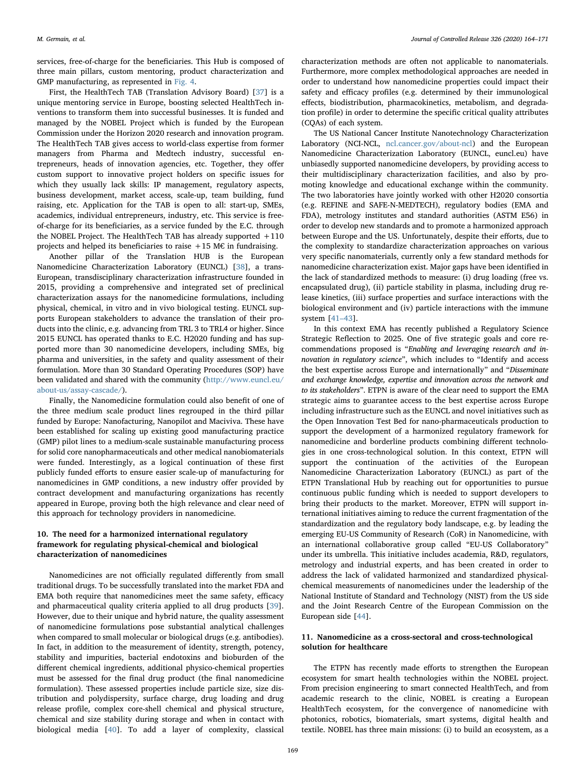services, free-of-charge for the beneficiaries. This Hub is composed of three main pillars, custom mentoring, product characterization and GMP manufacturing, as represented in [Fig. 4.](#page-4-0)

First, the HealthTech TAB (Translation Advisory Board) [[37\]](#page-7-12) is a unique mentoring service in Europe, boosting selected HealthTech inventions to transform them into successful businesses. It is funded and managed by the NOBEL Project which is funded by the European Commission under the Horizon 2020 research and innovation program. The HealthTech TAB gives access to world-class expertise from former managers from Pharma and Medtech industry, successful entrepreneurs, heads of innovation agencies, etc. Together, they offer custom support to innovative project holders on specific issues for which they usually lack skills: IP management, regulatory aspects, business development, market access, scale-up, team building, fund raising, etc. Application for the TAB is open to all: start-up, SMEs, academics, individual entrepreneurs, industry, etc. This service is freeof-charge for its beneficiaries, as a service funded by the E.C. through the NOBEL Project. The HealthTech TAB has already supported +110 projects and helped its beneficiaries to raise  $+15$  M€ in fundraising.

Another pillar of the Translation HUB is the European Nanomedicine Characterization Laboratory (EUNCL) [[38\]](#page-7-13), a trans-European, transdisciplinary characterization infrastructure founded in 2015, providing a comprehensive and integrated set of preclinical characterization assays for the nanomedicine formulations, including physical, chemical, in vitro and in vivo biological testing. EUNCL supports European stakeholders to advance the translation of their products into the clinic, e.g. advancing from TRL 3 to TRL4 or higher. Since 2015 EUNCL has operated thanks to E.C. H2020 funding and has supported more than 30 nanomedicine developers, including SMEs, big pharma and universities, in the safety and quality assessment of their formulation. More than 30 Standard Operating Procedures (SOP) have been validated and shared with the community ([http://www.euncl.eu/](http://www.euncl.eu/about-us/assay-cascade/) [about-us/assay-cascade/](http://www.euncl.eu/about-us/assay-cascade/)).

Finally, the Nanomedicine formulation could also benefit of one of the three medium scale product lines regrouped in the third pillar funded by Europe: Nanofacturing, Nanopilot and Maciviva. These have been established for scaling up existing good manufacturing practice (GMP) pilot lines to a medium-scale sustainable manufacturing process for solid core nanopharmaceuticals and other medical nanobiomaterials were funded. Interestingly, as a logical continuation of these first publicly funded efforts to ensure easier scale-up of manufacturing for nanomedicines in GMP conditions, a new industry offer provided by contract development and manufacturing organizations has recently appeared in Europe, proving both the high relevance and clear need of this approach for technology providers in nanomedicine.

# 10. The need for a harmonized international regulatory framework for regulating physical-chemical and biological characterization of nanomedicines

Nanomedicines are not officially regulated differently from small traditional drugs. To be successfully translated into the market FDA and EMA both require that nanomedicines meet the same safety, efficacy and pharmaceutical quality criteria applied to all drug products [\[39](#page-7-14)]. However, due to their unique and hybrid nature, the quality assessment of nanomedicine formulations pose substantial analytical challenges when compared to small molecular or biological drugs (e.g. antibodies). In fact, in addition to the measurement of identity, strength, potency, stability and impurities, bacterial endotoxins and bioburden of the different chemical ingredients, additional physico-chemical properties must be assessed for the final drug product (the final nanomedicine formulation). These assessed properties include particle size, size distribution and polydispersity, surface charge, drug loading and drug release profile, complex core-shell chemical and physical structure, chemical and size stability during storage and when in contact with biological media [[40\]](#page-7-15). To add a layer of complexity, classical

characterization methods are often not applicable to nanomaterials. Furthermore, more complex methodological approaches are needed in order to understand how nanomedicine properties could impact their safety and efficacy profiles (e.g. determined by their immunological effects, biodistribution, pharmacokinetics, metabolism, and degradation profile) in order to determine the specific critical quality attributes (CQAs) of each system.

The US National Cancer Institute Nanotechnology Characterization Laboratory (NCI-NCL, [ncl.cancer.gov/about-ncl](http://ncl.cancer.gov/about-ncl)) and the European Nanomedicine Characterization Laboratory (EUNCL, euncl.eu) have unbiasedly supported nanomedicine developers, by providing access to their multidisciplinary characterization facilities, and also by promoting knowledge and educational exchange within the community. The two laboratories have jointly worked with other H2020 consortia (e.g. REFINE and SAFE-N-MEDTECH), regulatory bodies (EMA and FDA), metrology institutes and standard authorities (ASTM E56) in order to develop new standards and to promote a harmonized approach between Europe and the US. Unfortunately, despite their efforts, due to the complexity to standardize characterization approaches on various very specific nanomaterials, currently only a few standard methods for nanomedicine characterization exist. Major gaps have been identified in the lack of standardized methods to measure: (i) drug loading (free vs. encapsulated drug), (ii) particle stability in plasma, including drug release kinetics, (iii) surface properties and surface interactions with the biological environment and (iv) particle interactions with the immune system [41–[43\]](#page-7-16).

In this context EMA has recently published a Regulatory Science Strategic Reflection to 2025. One of five strategic goals and core recommendations proposed is "Enabling and leveraging research and innovation in regulatory science", which includes to "Identify and access the best expertise across Europe and internationally" and "Disseminate and exchange knowledge, expertise and innovation across the network and to its stakeholders". ETPN is aware of the clear need to support the EMA strategic aims to guarantee access to the best expertise across Europe including infrastructure such as the EUNCL and novel initiatives such as the Open Innovation Test Bed for nano-pharmaceuticals production to support the development of a harmonized regulatory framework for nanomedicine and borderline products combining different technologies in one cross-technological solution. In this context, ETPN will support the continuation of the activities of the European Nanomedicine Characterization Laboratory (EUNCL) as part of the ETPN Translational Hub by reaching out for opportunities to pursue continuous public funding which is needed to support developers to bring their products to the market. Moreover, ETPN will support international initiatives aiming to reduce the current fragmentation of the standardization and the regulatory body landscape, e.g. by leading the emerging EU-US Community of Research (CoR) in Nanomedicine, with an international collaborative group called "EU-US Collaboratory" under its umbrella. This initiative includes academia, R&D, regulators, metrology and industrial experts, and has been created in order to address the lack of validated harmonized and standardized physicalchemical measurements of nanomedicines under the leadership of the National Institute of Standard and Technology (NIST) from the US side and the Joint Research Centre of the European Commission on the European side [[44\]](#page-7-17).

# 11. Nanomedicine as a cross-sectoral and cross-technological solution for healthcare

The ETPN has recently made efforts to strengthen the European ecosystem for smart health technologies within the NOBEL project. From precision engineering to smart connected HealthTech, and from academic research to the clinic, NOBEL is creating a European HealthTech ecosystem, for the convergence of nanomedicine with photonics, robotics, biomaterials, smart systems, digital health and textile. NOBEL has three main missions: (i) to build an ecosystem, as a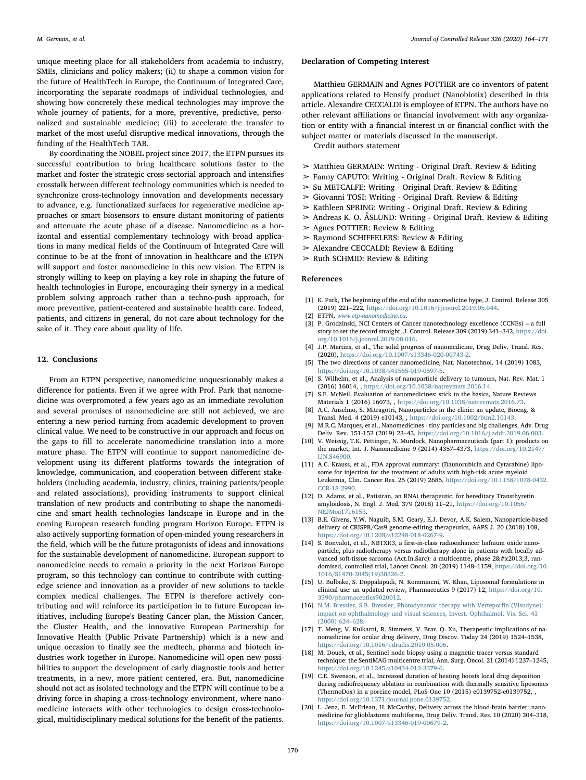unique meeting place for all stakeholders from academia to industry, SMEs, clinicians and policy makers; (ii) to shape a common vision for the future of HealthTech in Europe, the Continuum of Integrated Care, incorporating the separate roadmaps of individual technologies, and showing how concretely these medical technologies may improve the whole journey of patients, for a more, preventive, predictive, personalized and sustainable medicine; (iii) to accelerate the transfer to market of the most useful disruptive medical innovations, through the funding of the HealthTech TAB.

By coordinating the NOBEL project since 2017, the ETPN pursues its successful contribution to bring healthcare solutions faster to the market and foster the strategic cross-sectorial approach and intensifies crosstalk between different technology communities which is needed to synchronize cross-technology innovation and developments necessary to advance, e.g. functionalized surfaces for regenerative medicine approaches or smart biosensors to ensure distant monitoring of patients and attenuate the acute phase of a disease. Nanomedicine as a horizontal and essential complementary technology with broad applications in many medical fields of the Continuum of Integrated Care will continue to be at the front of innovation in healthcare and the ETPN will support and foster nanomedicine in this new vision. The ETPN is strongly willing to keep on playing a key role in shaping the future of health technologies in Europe, encouraging their synergy in a medical problem solving approach rather than a techno-push approach, for more preventive, patient-centered and sustainable health care. Indeed, patients, and citizens in general, do not care about technology for the sake of it. They care about quality of life.

## 12. Conclusions

From an ETPN perspective, nanomedicine unquestionably makes a difference for patients. Even if we agree with Prof. Park that nanomedicine was overpromoted a few years ago as an immediate revolution and several promises of nanomedicine are still not achieved, we are entering a new period turning from academic development to proven clinical value. We need to be constructive in our approach and focus on the gaps to fill to accelerate nanomedicine translation into a more mature phase. The ETPN will continue to support nanomedicine development using its different platforms towards the integration of knowledge, communication, and cooperation between different stakeholders (including academia, industry, clinics, training patients/people and related associations), providing instruments to support clinical translation of new products and contributing to shape the nanomedicine and smart health technologies landscape in Europe and in the coming European research funding program Horizon Europe. ETPN is also actively supporting formation of open-minded young researchers in the field, which will be the future protagonists of ideas and innovations for the sustainable development of nanomedicine. European support to nanomedicine needs to remain a priority in the next Horizon Europe program, so this technology can continue to contribute with cuttingedge science and innovation as a provider of new solutions to tackle complex medical challenges. The ETPN is therefore actively contributing and will reinforce its participation in to future European initiatives, including Europe's Beating Cancer plan, the Mission Cancer, the Cluster Health, and the innovative European Partnership for Innovative Health (Public Private Partnership) which is a new and unique occasion to finally see the medtech, pharma and biotech industries work together in Europe. Nanomedicine will open new possibilities to support the development of early diagnostic tools and better treatments, in a new, more patient centered, era. But, nanomedicine should not act as isolated technology and the ETPN will continue to be a driving force in shaping a cross-technology environment, where nanomedicine interacts with other technologies to design cross-technological, multidisciplinary medical solutions for the benefit of the patients.

#### Declaration of Competing Interest

Matthieu GERMAIN and Agnes POTTIER are co-inventors of patent applications related to Hensify product (Nanobiotix) described in this article. Alexandre CECCALDI is employee of ETPN. The authors have no other relevant affiliations or financial involvement with any organization or entity with a financial interest in or financial conflict with the subject matter or materials discussed in the manuscript.

Credit authors statement

- ➢ Matthieu GERMAIN: Writing Original Draft. Review & Editing
- ➢ Fanny CAPUTO: Writing Original Draft. Review & Editing
- ➢ Su METCALFE: Writing Original Draft. Review & Editing
- ➢ Giovanni TOSI: Writing Original Draft. Review & Editing
- $\ge$  Kathleen SPRING: Writing Original Draft. Review & Editing
- ➢ Andreas K. O. ÅSLUND: Writing Original Draft. Review & Editing
- ➢ Agnes POTTIER: Review & Editing
- ➢ Raymond SCHIFFELERS: Review & Editing
- ➢ Alexandre CECCALDI: Review & Editing
- $>$  Ruth SCHMID: Review & Editing

#### References

- <span id="page-6-1"></span>[1] K. Park, The beginning of the end of the nanomedicine hype, J. Control. Release 305 (2019) 221–222, [https://doi.org/10.1016/j.jconrel.2019.05.044.](https://doi.org/10.1016/j.jconrel.2019.05.044)
- <span id="page-6-0"></span>[2] ETPN, [www.etp-nanomedicine.eu](http://www.etp-nanomedicine.eu).
- <span id="page-6-2"></span>[3] P. Grodzinski, NCI Centers of Cancer nanotechnology excellence (CCNEs) – a full story to set the record straight, J. Control. Release 309 (2019) 341–342, [https://doi.](https://doi.org/10.1016/j.jconrel.2019.08.016) [org/10.1016/j.jconrel.2019.08.016.](https://doi.org/10.1016/j.jconrel.2019.08.016)
- <span id="page-6-3"></span>[4] J.P. Martins, et al., The solid progress of nanomedicine, Drug Deliv. Transl. Res. (2020), [https://doi.org/10.1007/s13346-020-00743-2.](https://doi.org/10.1007/s13346-020-00743-2)
- <span id="page-6-4"></span>[5] The two directions of cancer nanomedicine, Nat. Nanotechnol. 14 (2019) 1083, <https://doi.org/10.1038/s41565-019-0597-5>.
- <span id="page-6-5"></span>[6] S. Wilhelm, et al., Analysis of nanoparticle delivery to tumours, Nat. Rev. Mat. 1 (2016) 16014, , [https://doi.org/10.1038/natrevmats.2016.14.](https://doi.org/10.1038/natrevmats.2016.14)
- <span id="page-6-6"></span>[7] S.E. McNeil, Evaluation of nanomedicines: stick to the basics, Nature Reviews Materials 1 (2016) 16073, , [https://doi.org/10.1038/natrevmats.2016.73.](https://doi.org/10.1038/natrevmats.2016.73)
- <span id="page-6-7"></span>[8] A.C. Anselmo, S. Mitragotri, Nanoparticles in the clinic: an update, Bioeng. & Transl. Med. 4 (2019) e10143, , [https://doi.org/10.1002/btm2.10143.](https://doi.org/10.1002/btm2.10143)
- M.R.C. Marques, et al., Nanomedicines tiny particles and big challenges, Adv. Drug Deliv. Rev. 151-152 (2019) 23–43, [https://doi.org/10.1016/j.addr.2019.06.003.](https://doi.org/10.1016/j.addr.2019.06.003)
- [10] V. Weissig, T.K. Pettinger, N. Murdock, Nanopharmaceuticals (part 1): products on the market, Int. J. Nanomedicine 9 (2014) 4357–4373, [https://doi.org/10.2147/](https://doi.org/10.2147/IJN.S46900) [IJN.S46900](https://doi.org/10.2147/IJN.S46900).
- <span id="page-6-8"></span>[11] A.C. Krauss, et al., FDA approval summary: (Daunorubicin and Cytarabine) liposome for injection for the treatment of adults with high-risk acute myeloid Leukemia, Clin. Cancer Res. 25 (2019) 2685, [https://doi.org/10.1158/1078-0432.](https://doi.org/10.1158/1078-0432.CCR-18-2990) [CCR-18-2990.](https://doi.org/10.1158/1078-0432.CCR-18-2990)
- <span id="page-6-9"></span>[12] D. Adams, et al., Patisiran, an RNAi therapeutic, for hereditary Transthyretin amyloidosis, N. Engl. J. Med. 379 (2018) 11–21, [https://doi.org/10.1056/](https://doi.org/10.1056/NEJMoa1716153) [NEJMoa1716153.](https://doi.org/10.1056/NEJMoa1716153)
- <span id="page-6-10"></span>[13] B.E. Givens, Y.W. Naguib, S.M. Geary, E.J. Devor, A.K. Salem, Nanoparticle-based delivery of CRISPR/Cas9 genome-editing therapeutics, AAPS J. 20 (2018) 108, <https://doi.org/10.1208/s12248-018-0267-9>.
- <span id="page-6-11"></span>[14] S. Bonvalot, et al., NBTXR3, a first-in-class radioenhancer hafnium oxide nanoparticle, plus radiotherapy versus radiotherapy alone in patients with locally advanced soft-tissue sarcoma (Act.In.Sarc): a multicentre, phase  $2&\#x2013;3$ , randomised, controlled trial, Lancet Oncol. 20 (2019) 1148–1159, [https://doi.org/10.](https://doi.org/10.1016/S1470-2045(19)30326-2) [1016/S1470-2045\(19\)30326-2](https://doi.org/10.1016/S1470-2045(19)30326-2).
- <span id="page-6-12"></span>[15] U. Bulbake, S. Doppalapudi, N. Kommineni, W. Khan, Liposomal formulations in clinical use: an updated review, Pharmaceutics 9 (2017) 12, [https://doi.org/10.](https://doi.org/10.3390/pharmaceutics9020012) [3390/pharmaceutics9020012.](https://doi.org/10.3390/pharmaceutics9020012)
- <span id="page-6-13"></span>[16] [N.M. Bressler, S.B. Bressler, Photodynamic therapy with Vertepor](http://refhub.elsevier.com/S0168-3659(20)30382-5/rf0080)fin (Visudyne): [impact on ophthalmology and visual sciences, Invest. Ophthalmol. Vis. Sci. 41](http://refhub.elsevier.com/S0168-3659(20)30382-5/rf0080) [\(2000\) 624](http://refhub.elsevier.com/S0168-3659(20)30382-5/rf0080)–628.
- <span id="page-6-14"></span>[17] T. Meng, V. Kulkarni, R. Simmers, V. Brar, Q. Xu, Therapeutic implications of nanomedicine for ocular drug delivery, Drug Discov. Today 24 (2019) 1524–1538, <https://doi.org/10.1016/j.drudis.2019.05.006>.
- <span id="page-6-15"></span>[18] M. Douek, et al., Sentinel node biopsy using a magnetic tracer versus standard technique: the SentiMAG multicentre trial, Ann. Surg. Oncol. 21 (2014) 1237–1245, <https://doi.org/10.1245/s10434-013-3379-6>.
- <span id="page-6-16"></span>[19] C.E. Swenson, et al., Increased duration of heating boosts local drug deposition during radiofrequency ablation in combination with thermally sensitive liposomes (ThermoDox) in a porcine model, PLoS One 10 (2015) e0139752-e0139752, , [https://doi.org/10.1371/journal.pone.0139752.](https://doi.org/10.1371/journal.pone.0139752)
- <span id="page-6-17"></span>[20] L. Jena, E. McErlean, H. McCarthy, Delivery across the blood-brain barrier: nanomedicine for glioblastoma multiforme, Drug Deliv. Transl. Res. 10 (2020) 304–318, [https://doi.org/10.1007/s13346-019-00679-2.](https://doi.org/10.1007/s13346-019-00679-2)